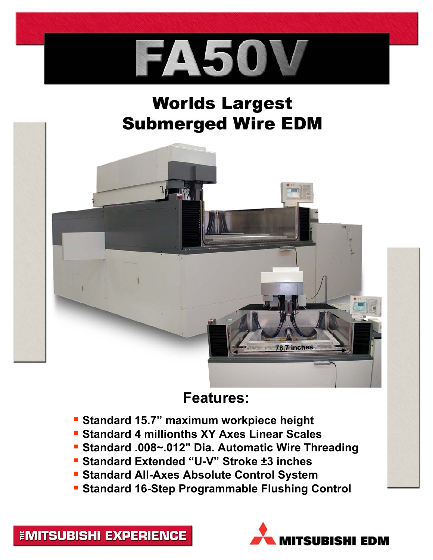

## **Worlds Largest Submerged Wire EDM**



## **Features:**

- **Standard 15.7" maximum workpiece height**
- **Standard 4 millionths XY Axes Linear Scales**
- **Standard .008~.012" Dia. Automatic Wire Threading**
- **Standard Extended "U-V" Stroke ±3 inches**
- **Standard All-Axes Absolute Control System**
- **Standard 16-Step Programmable Flushing Control**